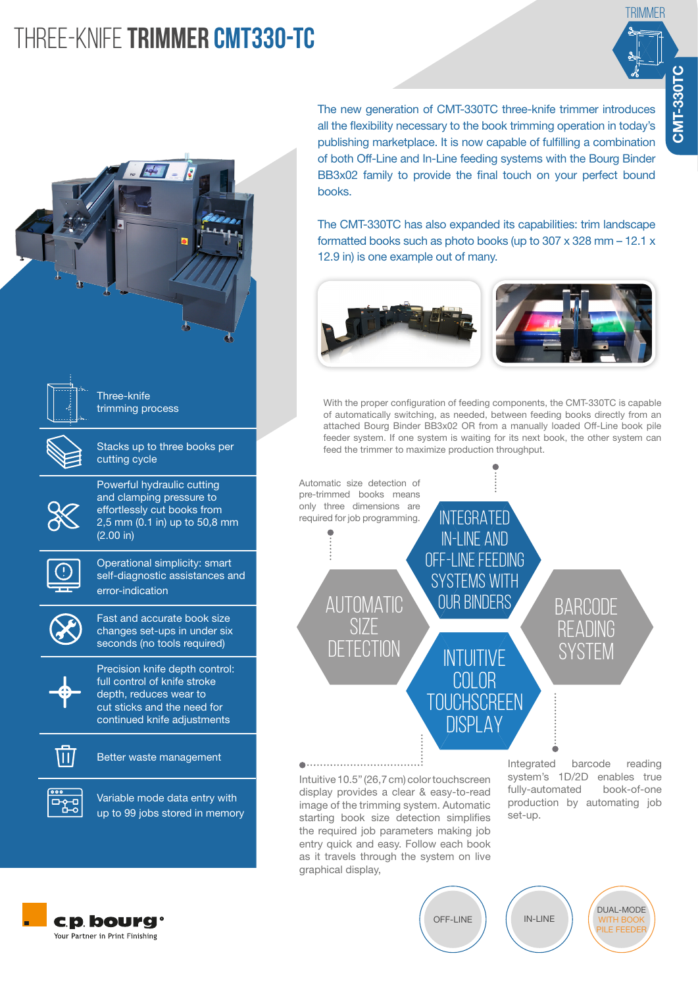# Three-knife **TRIMMER CMT330-TC**





Variable mode data entry with 먹 up to 99 jobs stored in memory The new generation of CMT-330TC three-knife trimmer introduces all the flexibility necessary to the book trimming operation in today's publishing marketplace. It is now capable of fulfilling a combination of both Off-Line and In-Line feeding systems with the Bourg Binder BB3x02 family to provide the final touch on your perfect bound books.

The CMT-330TC has also expanded its capabilities: trim landscape formatted books such as photo books (up to 307 x 328 mm – 12.1 x 12.9 in) is one example out of many.



With the proper configuration of feeding components, the CMT-330TC is capable of automatically switching, as needed, between feeding books directly from an attached Bourg Binder BB3x02 OR from a manually loaded Off-Line book pile feeder system. If one system is waiting for its next book, the other system can feed the trimmer to maximize production throughput.



Intuitive 10.5" (26,7 cm) color touchscreen display provides a clear & easy-to-read

image of the trimming system. Automatic starting book size detection simplifies the required job parameters making job entry quick and easy. Follow each book as it travels through the system on live graphical display,

system's 1D/2D enables true fully-automated book-of-one production by automating job set-up.



OFF-LINE

IN-LINE